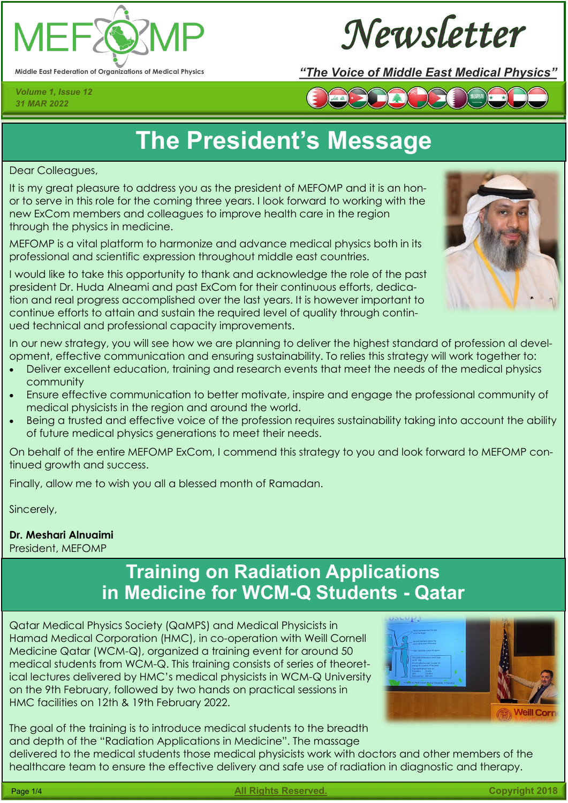

Newsletter

*Volume 1, Issue 12 31 MAR 2022*

### **Middle East Federation of Organizations of Medical Physics** *"The Voice of Middle East Medical Physics"*



# **The President's Message**

Dear Colleagues,

It is my great pleasure to address you as the president of MEFOMP and it is an honor to serve in this role for the coming three years. I look forward to working with the new ExCom members and colleagues to improve health care in the region through the physics in medicine.

MEFOMP is a vital platform to harmonize and advance medical physics both in its professional and scientific expression throughout middle east countries.



I would like to take this opportunity to thank and acknowledge the role of the past president Dr. Huda Alneami and past ExCom for their continuous efforts, dedication and real progress accomplished over the last years. It is however important to continue efforts to attain and sustain the required level of quality through continued technical and professional capacity improvements.

In our new strategy, you will see how we are planning to deliver the highest standard of profession al development, effective communication and ensuring sustainability. To relies this strategy will work together to:

- Deliver excellent education, training and research events that meet the needs of the medical physics community
- Ensure effective communication to better motivate, inspire and engage the professional community of medical physicists in the region and around the world.
- Being a trusted and effective voice of the profession requires sustainability taking into account the ability of future medical physics generations to meet their needs.

On behalf of the entire MEFOMP ExCom, I commend this strategy to you and look forward to MEFOMP continued growth and success.

Finally, allow me to wish you all a blessed month of Ramadan.

Sincerely,

#### **Dr. Meshari Alnuaimi**

President, MEFOMP

## **Training on Radiation Applications in Medicine for WCM-Q Students - Qatar**

Qatar Medical Physics Society (QaMPS) and Medical Physicists in Hamad Medical Corporation (HMC), in co-operation with Weill Cornell Medicine Qatar (WCM-Q), organized a training event for around 50 medical students from WCM-Q. This training consists of series of theoretical lectures delivered by HMC's medical physicists in WCM-Q University on the 9th February, followed by two hands on practical sessions in HMC facilities on 12th & 19th February 2022.



The goal of the training is to introduce medical students to the breadth and depth of the "Radiation Applications in Medicine". The massage delivered to the medical students those medical physicists work with doctors and other members of the



healthcare team to ensure the effective delivery and safe use of radiation in diagnostic and therapy.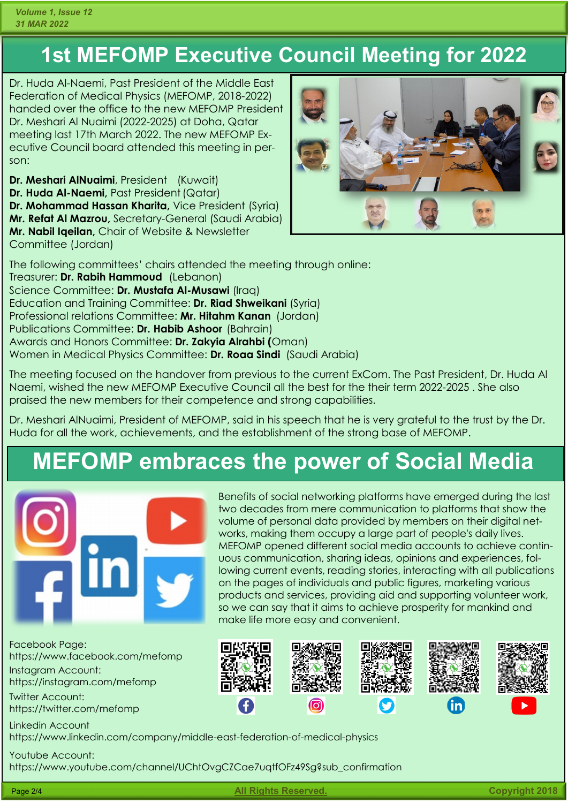## **1st MEFOMP Executive Council Meeting for 2022**

Dr. Huda Al-Naemi, Past President of the Middle East Federation of Medical Physics (MEFOMP, 2018-2022) handed over the office to the new MEFOMP President Dr. Meshari Al Nuaimi (2022-2025) at Doha, Qatar meeting last 17th March 2022. The new MEFOMP Executive Council board attended this meeting in person:

**Dr. Meshari AlNuaimi**, President (Kuwait) **Dr. Huda Al-Naemi, Past President (Qatar) Dr. Mohammad Hassan Kharita,** Vice President (Syria) **Mr. Refat Al Mazrou,** Secretary-General (Saudi Arabia) **Mr. Nabil Iqeilan,** Chair of Website & Newsletter Committee (Jordan)



The following committees' chairs attended the meeting through online: Treasurer: **Dr. Rabih Hammoud** (Lebanon) Science Committee: **Dr. Mustafa Al-Musawi** (Iraq) Education and Training Committee: **Dr. Riad Shweikani** (Syria) Professional relations Committee: **Mr. Hitahm Kanan** (Jordan) Publications Committee: **Dr. Habib Ashoor** (Bahrain) Awards and Honors Committee: **Dr. Zakyia Alrahbi (**Oman) Women in Medical Physics Committee: **Dr. Roaa Sindi** (Saudi Arabia)

The meeting focused on the handover from previous to the current ExCom. The Past President, Dr. Huda Al Naemi, wished the new MEFOMP Executive Council all the best for the their term 2022-2025 . She also praised the new members for their competence and strong capabilities.

Dr. Meshari AlNuaimi, President of MEFOMP, said in his speech that he is very grateful to the trust by the Dr. Huda for all the work, achievements, and the establishment of the strong base of MEFOMP.

# **MEFOMP embraces the power of Social Media**



Facebook Page: https://www.facebook.com/mefomp Instagram Account: https://instagram.com/mefomp

Twitter Account: https://twitter.com/mefomp

Linkedin Account https://www.linkedin.com/company/middle-east-federation-of-medical-physics

Youtube Account: https://www.youtube.com/channel/UChtOvgCZCae7uqtfOFz49Sg?sub\_confirmation

Benefits of social networking platforms have emerged during the last two decades from mere communication to platforms that show the volume of personal data provided by members on their digital networks, making them occupy a large part of people's daily lives. MEFOMP opened different social media accounts to achieve continuous communication, sharing ideas, opinions and experiences, following current events, reading stories, interacting with all publications on the pages of individuals and public figures, marketing various products and services, providing aid and supporting volunteer work, so we can say that it aims to achieve prosperity for mankind and make life more easy and convenient.



Page 2/4 **All Rights Reserved. Copyright 2018**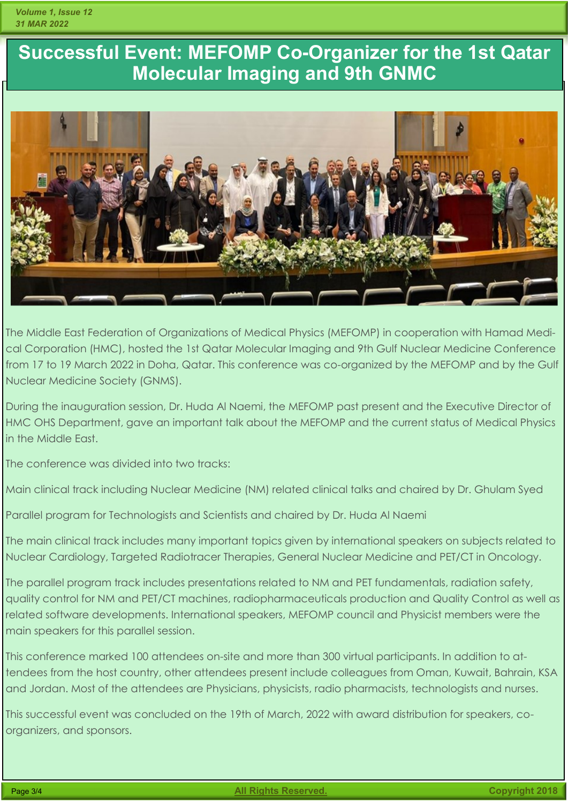## **Successful Event: MEFOMP Co-Organizer for the 1st Qatar Molecular Imaging and 9th GNMC**



The Middle East Federation of Organizations of Medical Physics (MEFOMP) in cooperation with Hamad Medical Corporation (HMC), hosted the 1st Qatar Molecular Imaging and 9th Gulf Nuclear Medicine Conference from 17 to 19 March 2022 in Doha, Qatar. This conference was co-organized by the MEFOMP and by the Gulf Nuclear Medicine Society (GNMS).

During the inauguration session, Dr. Huda Al Naemi, the MEFOMP past present and the Executive Director of HMC OHS Department, gave an important talk about the MEFOMP and the current status of Medical Physics in the Middle East.

The conference was divided into two tracks:

Main clinical track including Nuclear Medicine (NM) related clinical talks and chaired by Dr. Ghulam Syed

Parallel program for Technologists and Scientists and chaired by Dr. Huda Al Naemi

The main clinical track includes many important topics given by international speakers on subjects related to Nuclear Cardiology, Targeted Radiotracer Therapies, General Nuclear Medicine and PET/CT in Oncology.

The parallel program track includes presentations related to NM and PET fundamentals, radiation safety, quality control for NM and PET/CT machines, radiopharmaceuticals production and Quality Control as well as related software developments. International speakers, MEFOMP council and Physicist members were the main speakers for this parallel session.

This conference marked 100 attendees on-site and more than 300 virtual participants. In addition to attendees from the host country, other attendees present include colleagues from Oman, Kuwait, Bahrain, KSA and Jordan. Most of the attendees are Physicians, physicists, radio pharmacists, technologists and nurses.

This successful event was concluded on the 19th of March, 2022 with award distribution for speakers, coorganizers, and sponsors.